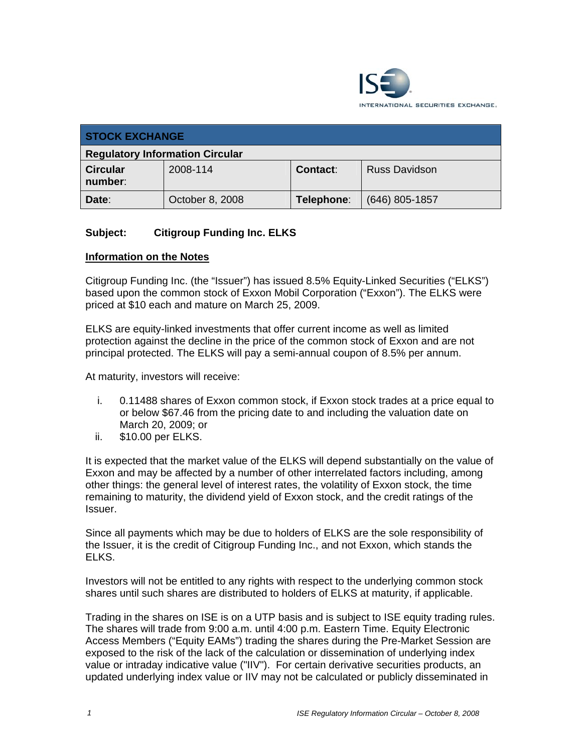

| <b>STOCK EXCHANGE</b>                  |                 |            |                      |
|----------------------------------------|-----------------|------------|----------------------|
| <b>Regulatory Information Circular</b> |                 |            |                      |
| <b>Circular</b><br>number:             | 2008-114        | Contact:   | <b>Russ Davidson</b> |
| Date:                                  | October 8, 2008 | Telephone: | $(646)$ 805-1857     |

# **Subject: Citigroup Funding Inc. ELKS**

#### **Information on the Notes**

Citigroup Funding Inc. (the "Issuer") has issued 8.5% Equity-Linked Securities ("ELKS") based upon the common stock of Exxon Mobil Corporation ("Exxon"). The ELKS were priced at \$10 each and mature on March 25, 2009.

ELKS are equity-linked investments that offer current income as well as limited protection against the decline in the price of the common stock of Exxon and are not principal protected. The ELKS will pay a semi-annual coupon of 8.5% per annum.

At maturity, investors will receive:

- i. 0.11488 shares of Exxon common stock, if Exxon stock trades at a price equal to or below \$67.46 from the pricing date to and including the valuation date on March 20, 2009; or
- ii. \$10.00 per ELKS.

It is expected that the market value of the ELKS will depend substantially on the value of Exxon and may be affected by a number of other interrelated factors including, among other things: the general level of interest rates, the volatility of Exxon stock, the time remaining to maturity, the dividend yield of Exxon stock, and the credit ratings of the Issuer.

Since all payments which may be due to holders of ELKS are the sole responsibility of the Issuer, it is the credit of Citigroup Funding Inc., and not Exxon, which stands the ELKS.

Investors will not be entitled to any rights with respect to the underlying common stock shares until such shares are distributed to holders of ELKS at maturity, if applicable.

Trading in the shares on ISE is on a UTP basis and is subject to ISE equity trading rules. The shares will trade from 9:00 a.m. until 4:00 p.m. Eastern Time. Equity Electronic Access Members ("Equity EAMs") trading the shares during the Pre-Market Session are exposed to the risk of the lack of the calculation or dissemination of underlying index value or intraday indicative value ("IIV"). For certain derivative securities products, an updated underlying index value or IIV may not be calculated or publicly disseminated in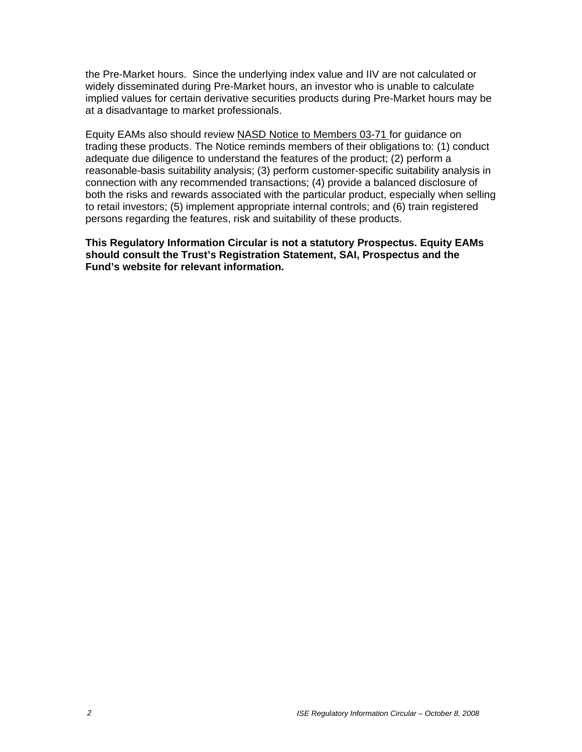the Pre-Market hours. Since the underlying index value and IIV are not calculated or widely disseminated during Pre-Market hours, an investor who is unable to calculate implied values for certain derivative securities products during Pre-Market hours may be at a disadvantage to market professionals.

Equity EAMs also should review NASD Notice to Members 03-71 for guidance on trading these products. The Notice reminds members of their obligations to: (1) conduct adequate due diligence to understand the features of the product; (2) perform a reasonable-basis suitability analysis; (3) perform customer-specific suitability analysis in connection with any recommended transactions; (4) provide a balanced disclosure of both the risks and rewards associated with the particular product, especially when selling to retail investors; (5) implement appropriate internal controls; and (6) train registered persons regarding the features, risk and suitability of these products.

**This Regulatory Information Circular is not a statutory Prospectus. Equity EAMs should consult the Trust's Registration Statement, SAI, Prospectus and the Fund's website for relevant information.**